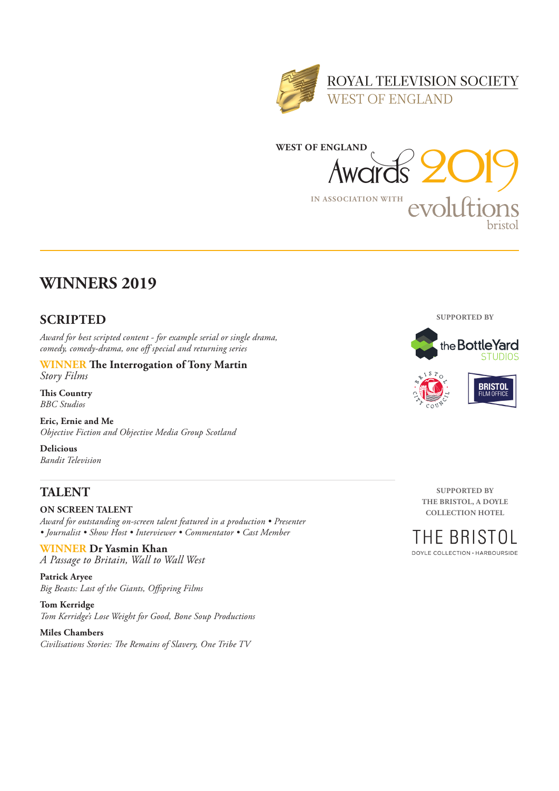



## **WINNERS 2019**

### **SCRIPTED**

*Award for best scripted content - for example serial or single drama, comedy, comedy-drama, one off special and returning series*

#### **WINNER The Interrogation of Tony Martin** *Story Films*

**This Country** *BBC Studios*

**Eric, Ernie and Me** *Objective Fiction and Objective Media Group Scotland*

**Delicious** *Bandit Television*

## **TALENT**

**ON SCREEN TALENT**  *Award for outstanding on-screen talent featured in a production • Presenter • Journalist • Show Host • Interviewer • Commentator • Cast Member*

**WINNER Dr Yasmin Khan** *A Passage to Britain, Wall to Wall West*

**Patrick Aryee** *Big Beasts: Last of the Giants, Offspring Films*

**Tom Kerridge** *Tom Kerridge's Lose Weight for Good, Bone Soup Productions*

**Miles Chambers** *Civilisations Stories: The Remains of Slavery, One Tribe TV*



**SUPPORTED BY THE BRISTOL, A DOYLE COLLECTION HOTEL**

HE BRISTOL

DOYLE COLLECTION · HARBOURSIDE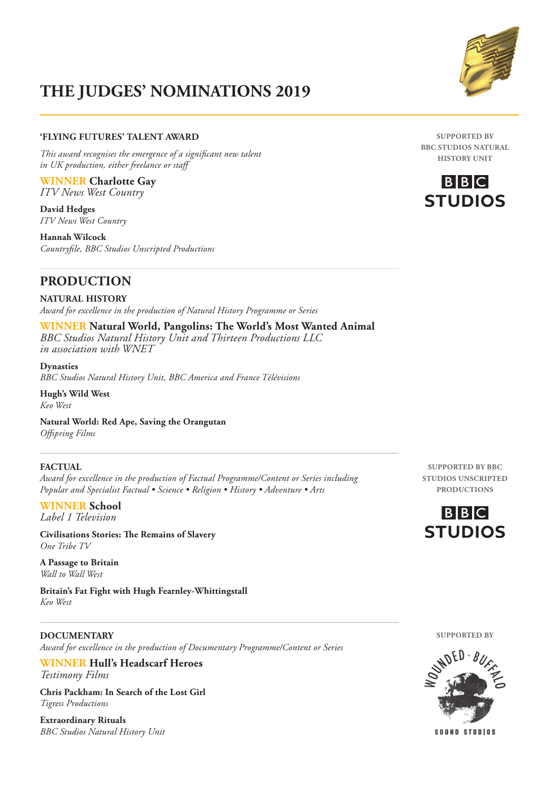#### **'FLYING FUTURES' TALENT AWARD**

*This award recognises the emergence of a significant new talent in UK production, either freelance or staff*

**WINNER Charlotte Gay** *ITV News West Country*

**David Hedges** *ITV News West Country*

**Hannah Wilcock** *Countryfile, BBC Studios Unscripted Productions*

### **PRODUCTION**

**NATURAL HISTORY** *Award for excellence in the production of Natural History Programme or Series*

**WINNER Natural World, Pangolins: The World's Most Wanted Animal** *BBC Studios Natural History Unit and Thirteen Productions LLC in association with WNET*

**Dynasties** *BBC Studios Natural History Unit, BBC America and France Télévisions*

**Hugh's Wild West** *Keo West*

**Natural World: Red Ape, Saving the Orangutan** *Offspring Films*

#### **FACTUAL**

*Award for excellence in the production of Factual Programme/Content or Series including Popular and Specialist Factual • Science • Religion • History • Adventure • Arts*

**WINNER School** *Label 1 Television*

**Civilisations Stories: The Remains of Slavery** *One Tribe TV*

**A Passage to Britain** *Wall to Wall West*

**Britain's Fat Fight with Hugh Fearnley-Whittingstall** *Keo West*

#### **DOCUMENTARY**

*Award for excellence in the production of Documentary Programme/Content or Series*

**WINNER Hull's Headscarf Heroes** *Testimony Films*

**Chris Packham: In Search of the Lost Girl** *Tigress Productions*

**Extraordinary Rituals** *BBC Studios Natural History Unit*

**SUPPORTED BY BBC STUDIOS UNSCRIPTED PRODUCTIONS**





 $B|B|C$ **STUDIOS** 

**SUPPORTED BY BBC STUDIOS NATURAL HISTORY UNIT**

**SUPPORTED BY**



SOUND STUDIOS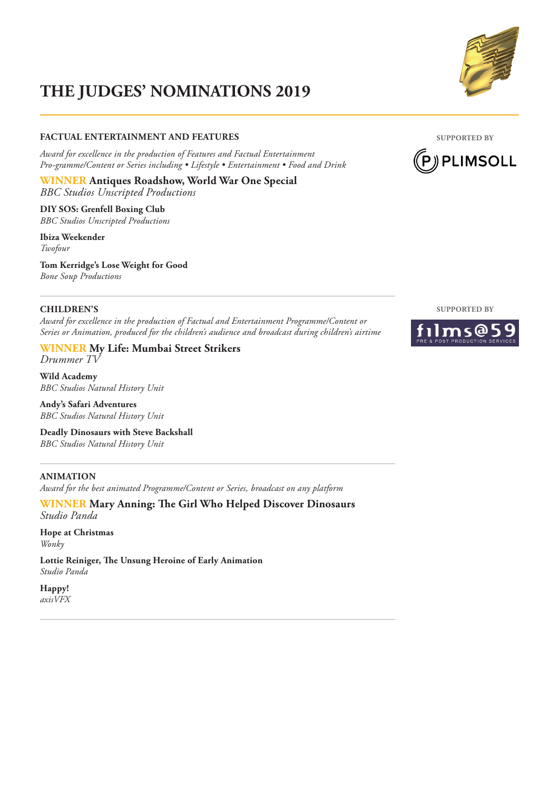#### **FACTUAL ENTERTAINMENT AND FEATURES**

*Award for excellence in the production of Features and Factual Entertainment Pro-gramme/Content or Series including • Lifestyle • Entertainment • Food and Drink*

**WINNER Antiques Roadshow, World War One Special** *BBC Studios Unscripted Productions*

**DIY SOS: Grenfell Boxing Club** *BBC Studios Unscripted Productions*

**Ibiza Weekender** *Twofour*

**Tom Kerridge's Lose Weight for Good** *Bone Soup Productions*

#### **CHILDREN'S**

*Award for excellence in the production of Factual and Entertainment Programme/Content or Series or Animation, produced for the children's audience and broadcast during children's airtime*

#### **WINNER My Life: Mumbai Street Strikers** *Drummer TV*

**Wild Academy** *BBC Studios Natural History Unit*

**Andy's Safari Adventures** *BBC Studios Natural History Unit*

**Deadly Dinosaurs with Steve Backshall** *BBC Studios Natural History Unit*

### **ANIMATION**

*Award for the best animated Programme/Content or Series, broadcast on any platform* 

**WINNER Mary Anning: The Girl Who Helped Discover Dinosaurs** *Studio Panda*

**Hope at Christmas** *Wonky*

**Lottie Reiniger, The Unsung Heroine of Early Animation** *Studio Panda*

**Happy!** *axisVFX*





**SUPPORTED BY**

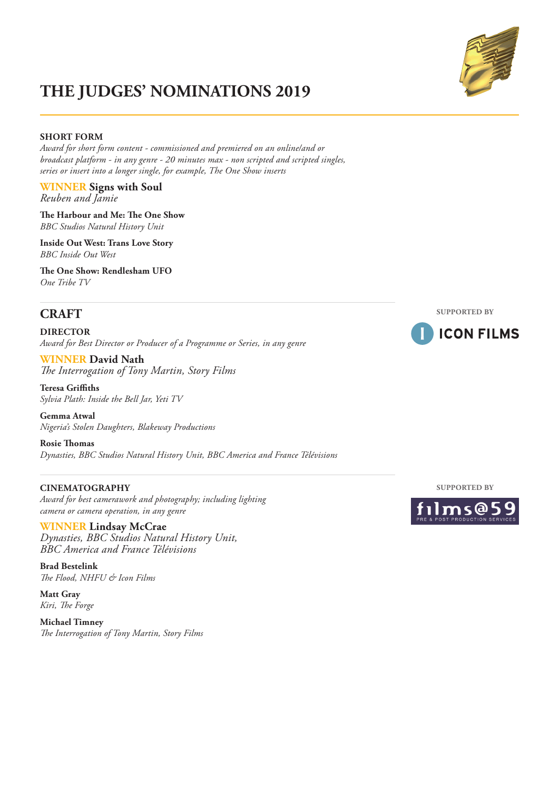#### **SHORT FORM**

*Award for short form content - commissioned and premiered on an online/and or broadcast platform - in any genre - 20 minutes max - non scripted and scripted singles, series or insert into a longer single, for example, The One Show inserts* 

**WINNER Signs with Soul** *Reuben and Jamie*

**The Harbour and Me: The One Show** *BBC Studios Natural History Unit*

**Inside Out West: Trans Love Story** *BBC Inside Out West*

**The One Show: Rendlesham UFO** *One Tribe TV*

### **CRAFT**

**DIRECTOR**  *Award for Best Director or Producer of a Programme or Series, in any genre* 

**WINNER David Nath** *The Interrogation of Tony Martin, Story Films*

**Teresa Griffiths** *Sylvia Plath: Inside the Bell Jar, Yeti TV*

**Gemma Atwal** *Nigeria's Stolen Daughters, Blakeway Productions*

**Rosie Thomas** *Dynasties, BBC Studios Natural History Unit, BBC America and France Télévisions*

#### **CINEMATOGRAPHY**

*Award for best camerawork and photography; including lighting camera or camera operation, in any genre* 

**WINNER Lindsay McCrae** *Dynasties, BBC Studios Natural History Unit, BBC America and France Télévisions*

**Brad Bestelink** *The Flood, NHFU & Icon Films*

**Matt Gray** *Kiri, The Forge*

**Michael Timney** *The Interrogation of Tony Martin, Story Films*









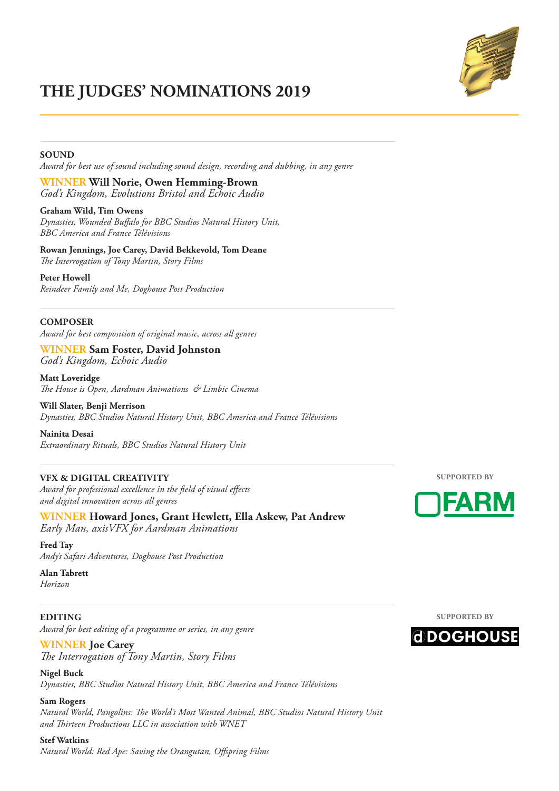

#### **SOUND**

*Award for best use of sound including sound design, recording and dubbing, in any genre* 

**WINNER Will Norie, Owen Hemming-Brown** *God's Kingdom, Evolutions Bristol and Echoic Audio*

**Graham Wild, Tim Owens** *Dynasties, Wounded Buffalo for BBC Studios Natural History Unit, BBC America and France Télévisions*

**Rowan Jennings, Joe Carey, David Bekkevold, Tom Deane** *The Interrogation of Tony Martin, Story Films*

**Peter Howell**

*Reindeer Family and Me, Doghouse Post Production*

#### **COMPOSER**

*Award for best composition of original music, across all genres* 

**WINNER Sam Foster, David Johnston** *God's Kingdom, Echoic Audio*

**Matt Loveridge** *The House is Open, Aardman Animations & Limbic Cinema*

**Will Slater, Benji Merrison** *Dynasties, BBC Studios Natural History Unit, BBC America and France Télévisions*

**Nainita Desai** *Extraordinary Rituals, BBC Studios Natural History Unit*

#### **VFX & DIGITAL CREATIVITY**

*Award for professional excellence in the field of visual effects and digital innovation across all genres* 

**WINNER Howard Jones, Grant Hewlett, Ella Askew, Pat Andrew** *Early Man, axisVFX for Aardman Animations*

**Fred Tay** *Andy's Safari Adventures, Doghouse Post Production*

**Alan Tabrett** *Horizon*

**EDITING**  *Award for best editing of a programme or series, in any genre* 

**WINNER Joe Carey**

*The Interrogation of Tony Martin, Story Films*

**Nigel Buck** *Dynasties, BBC Studios Natural History Unit, BBC America and France Télévisions*

**Sam Rogers** *Natural World, Pangolins: The World's Most Wanted Animal, BBC Studios Natural History Unit and Thirteen Productions LLC in association with WNET*

**Stef Watkins** *Natural World: Red Ape: Saving the Orangutan, Offspring Films* **SUPPORTED BY**



**SUPPORTED BY**